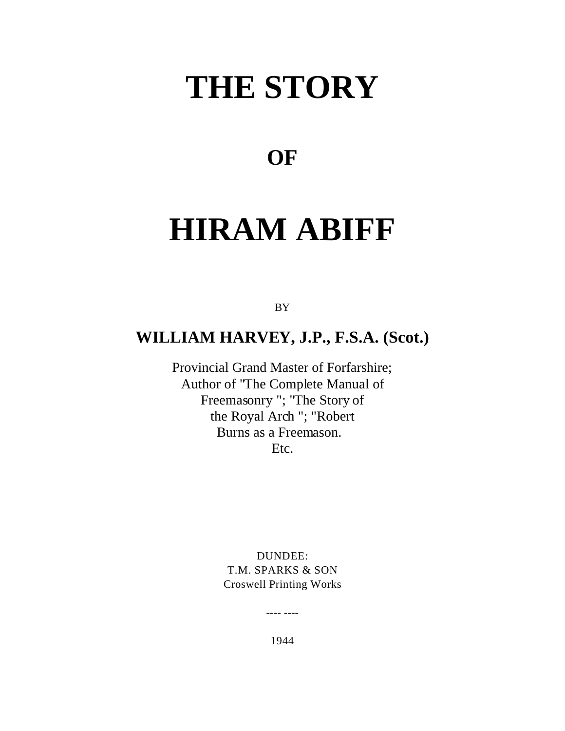# **THE STORY**

### **OF**

## **HIRAM ABIFF**

BY

#### **WILLIAM HARVEY, J.P., F.S.A. (Scot.)**

Provincial Grand Master of Forfarshire; Author of "The Complete Manual of Freemasonry "; "The Story of the Royal Arch "; "Robert Burns as a Freemason. Etc.

DUNDEE: T.M. SPARKS & SON Croswell Printing Works

1944

---- ----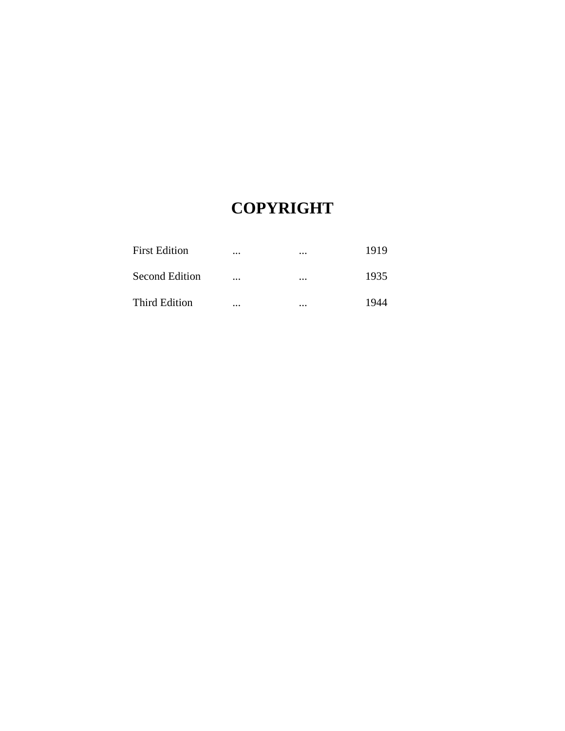### **COPYRIGHT**

| <b>First Edition</b>  |          | $\cdots$ | 1919 |
|-----------------------|----------|----------|------|
| <b>Second Edition</b> |          | $\cdots$ | 1935 |
| <b>Third Edition</b>  | $\cdots$ | $\cdots$ | 1944 |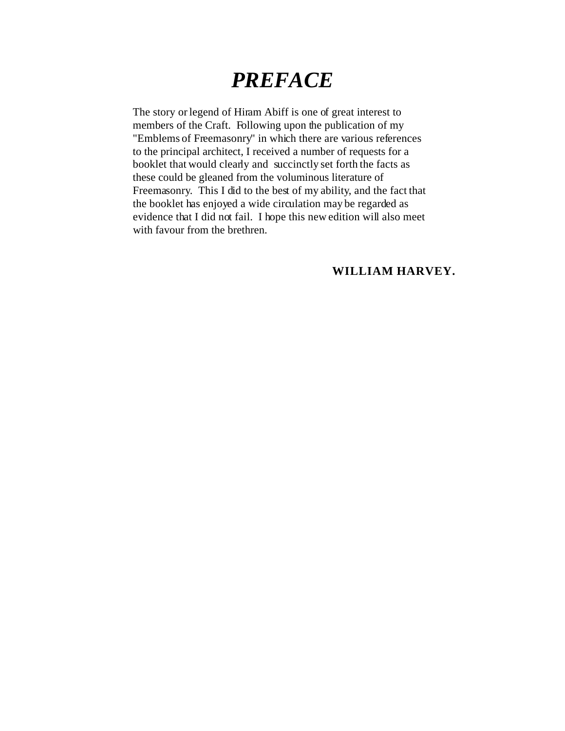## *PREFACE*

The story or legend of Hiram Abiff is one of great interest to members of the Craft. Following upon the publication of my "Emblems of Freemasonry" in which there are various references to the principal architect, I received a number of requests for a booklet that would clearly and succinctly set forth the facts as these could be gleaned from the voluminous literature of Freemasonry. This I did to the best of my ability, and the fact that the booklet has enjoyed a wide circulation may be regarded as evidence that I did not fail. I hope this new edition will also meet with favour from the brethren.

#### **WILLIAM HARVEY.**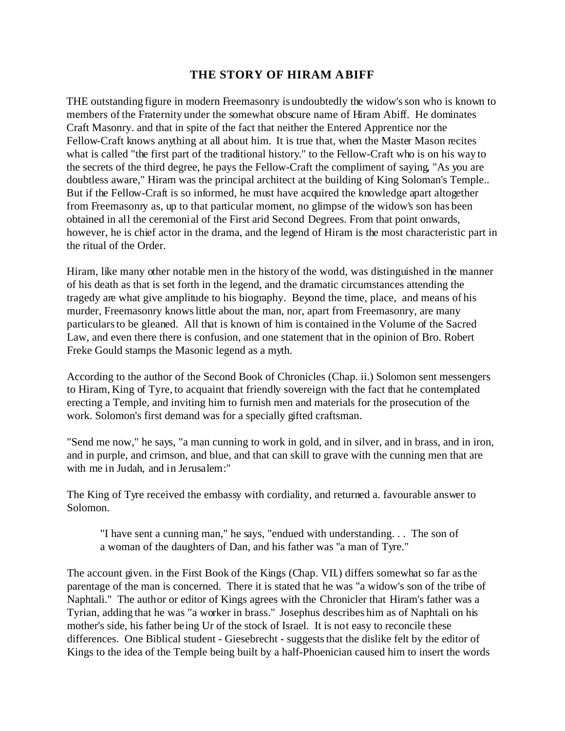#### **THE STORY OF HIRAM ABIFF**

THE outstanding figure in modern Freemasonry is undoubtedly the widow's son who is known to members of the Fraternity under the somewhat obscure name of Hiram Abiff. He dominates Craft Masonry. and that in spite of the fact that neither the Entered Apprentice nor the Fellow-Craft knows anything at all about him. It is true that, when the Master Mason recites what is called "the first part of the traditional history." to the Fellow-Craft who is on his way to the secrets of the third degree, he pays the Fellow-Craft the compliment of saying, "As you are doubtless aware," Hiram was the principal architect at the building of King Soloman's Temple.. But if the Fellow-Craft is so informed, he must have acquired the knowledge apart altogether from Freemasonry as, up to that particular moment, no glimpse of the widow's son has been obtained in all the ceremonial of the First arid Second Degrees. From that point onwards, however, he is chief actor in the drama, and the legend of Hiram is the most characteristic part in the ritual of the Order.

Hiram, like many other notable men in the history of the world, was distinguished in the manner of his death as that is set forth in the legend, and the dramatic circumstances attending the tragedy are what give amplitude to his biography. Beyond the time, place, and means of his murder, Freemasonry knows little about the man, nor, apart from Freemasonry, are many particulars to be gleaned. All that is known of him is contained in the Volume of the Sacred Law, and even there there is confusion, and one statement that in the opinion of Bro. Robert Freke Gould stamps the Masonic legend as a myth.

According to the author of the Second Book of Chronicles (Chap. ii.) Solomon sent messengers to Hiram, King of Tyre, to acquaint that friendly sovereign with the fact that he contemplated erecting a Temple, and inviting him to furnish men and materials for the prosecution of the work. Solomon's first demand was for a specially gifted craftsman.

"Send me now," he says, "a man cunning to work in gold, and in silver, and in brass, and in iron, and in purple, and crimson, and blue, and that can skill to grave with the cunning men that are with me in Judah, and in Jerusalem:"

The King of Tyre received the embassy with cordiality, and returned a. favourable answer to Solomon.

"I have sent a cunning man," he says, "endued with understanding. . . The son of a woman of the daughters of Dan, and his father was ''a man of Tyre."

The account given. in the First Book of the Kings (Chap. VII.) differs somewhat so far as the parentage of the man is concerned. There it is stated that he was "a widow's son of the tribe of Naphtali." The author or editor of Kings agrees with the Chronicler that Hiram's father was a Tyrian, adding that he was "a worker in brass." Josephus describes him as of Naphtali on his mother's side, his father being Ur of the stock of Israel. It is not easy to reconcile these differences. One Biblical student - Giesebrecht - suggests that the dislike felt by the editor of Kings to the idea of the Temple being built by a half-Phoenician caused him to insert the words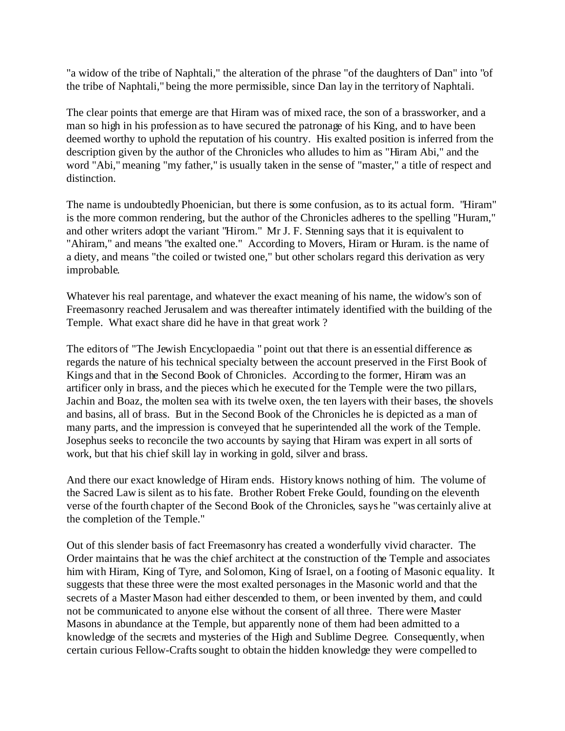"a widow of the tribe of Naphtali," the alteration of the phrase "of the daughters of Dan" into "of the tribe of Naphtali," being the more permissible, since Dan lay in the territory of Naphtali.

The clear points that emerge are that Hiram was of mixed race, the son of a brassworker, and a man so high in his profession as to have secured the patronage of his King, and to have been deemed worthy to uphold the reputation of his country. His exalted position is inferred from the description given by the author of the Chronicles who alludes to him as "Hiram Abi," and the word "Abi," meaning "my father," is usually taken in the sense of "master," a title of respect and distinction.

The name is undoubtedly Phoenician, but there is some confusion, as to its actual form. "Hiram" is the more common rendering, but the author of the Chronicles adheres to the spelling "Huram," and other writers adopt the variant "Hirom." Mr J. F. Stenning says that it is equivalent to "Ahiram," and means "the exalted one." According to Movers, Hiram or Huram. is the name of a diety, and means "the coiled or twisted one," but other scholars regard this derivation as very improbable.

Whatever his real parentage, and whatever the exact meaning of his name, the widow's son of Freemasonry reached Jerusalem and was thereafter intimately identified with the building of the Temple. What exact share did he have in that great work ?

The editors of "The Jewish Encyclopaedia " point out that there is an essential difference as regards the nature of his technical specialty between the account preserved in the First Book of Kings and that in the Second Book of Chronicles. According to the former, Hiram was an artificer only in brass, and the pieces which he executed for the Temple were the two pillars, Jachin and Boaz, the molten sea with its twelve oxen, the ten layers with their bases, the shovels and basins, all of brass. But in the Second Book of the Chronicles he is depicted as a man of many parts, and the impression is conveyed that he superintended all the work of the Temple. Josephus seeks to reconcile the two accounts by saying that Hiram was expert in all sorts of work, but that his chief skill lay in working in gold, silver and brass.

And there our exact knowledge of Hiram ends. History knows nothing of him. The volume of the Sacred Law is silent as to his fate. Brother Robert Freke Gould, founding on the eleventh verse of the fourth chapter of the Second Book of the Chronicles, says he "was certainly alive at the completion of the Temple."

Out of this slender basis of fact Freemasonry has created a wonderfully vivid character. The Order maintains that he was the chief architect at the construction of the Temple and associates him with Hiram, King of Tyre, and Solomon, King of Israel, on a footing of Masonic equality. It suggests that these three were the most exalted personages in the Masonic world and that the secrets of a Master Mason had either descended to them, or been invented by them, and could not be communicated to anyone else without the consent of all three. There were Master Masons in abundance at the Temple, but apparently none of them had been admitted to a knowledge of the secrets and mysteries of the High and Sublime Degree. Consequently, when certain curious Fellow-Crafts sought to obtain the hidden knowledge they were compelled to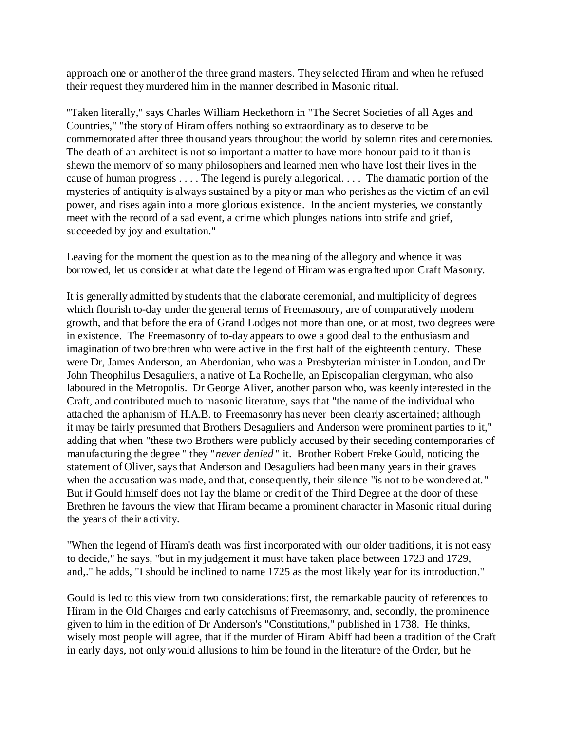approach one or another of the three grand masters. They selected Hiram and when he refused their request they murdered him in the manner described in Masonic ritual.

"Taken literally," says Charles William Heckethorn in "The Secret Societies of all Ages and Countries," "the story of Hiram offers nothing so extraordinary as to deserve to be commemorated after three thousand years throughout the world by solemn rites and ceremonies. The death of an architect is not so important a matter to have more honour paid to it than is shewn the memorv of so many philosophers and learned men who have lost their lives in the cause of human progress . . . . The legend is purely allegorical. . . . The dramatic portion of the mysteries of antiquity is always sustained by a pity or man who perishes as the victim of an evil power, and rises again into a more glorious existence. In the ancient mysteries, we constantly meet with the record of a sad event, a crime which plunges nations into strife and grief, succeeded by joy and exultation."

Leaving for the moment the question as to the meaning of the allegory and whence it was borrowed, let us consider at what date the legend of Hiram was engrafted upon Craft Masonry.

It is generally admitted by students that the elaborate ceremonial, and multiplicity of degrees which flourish to-day under the general terms of Freemasonry, are of comparatively modern growth, and that before the era of Grand Lodges not more than one, or at most, two degrees were in existence. The Freemasonry of to-day appears to owe a good deal to the enthusiasm and imagination of two brethren who were active in the first half of the eighteenth century. These were Dr, James Anderson, an Aberdonian, who was a Presbyterian minister in London, and Dr John Theophilus Desaguliers, a native of La Rochelle, an Episcopalian clergyman, who also laboured in the Metropolis. Dr George Aliver, another parson who, was keenly interested in the Craft, and contributed much to masonic literature, says that "the name of the individual who attached the aphanism of H.A.B. to Freemasonry has never been clearly ascertained; although it may be fairly presumed that Brothers Desaguliers and Anderson were prominent parties to it," adding that when "these two Brothers were publicly accused by their seceding contemporaries of manufacturing the degree " they "*never denied* " it. Brother Robert Freke Gould, noticing the statement of Oliver, says that Anderson and Desaguliers had been many years in their graves when the accusation was made, and that, consequently, their silence "is not to be wondered at." But if Gould himself does not lay the blame or credit of the Third Degree at the door of these Brethren he favours the view that Hiram became a prominent character in Masonic ritual during the years of their activity.

"When the legend of Hiram's death was first incorporated with our older traditions, it is not easy to decide," he says, "but in my judgement it must have taken place between 1723 and 1729, and,." he adds, "I should be inclined to name 1725 as the most likely year for its introduction."

Gould is led to this view from two considerations: first, the remarkable paucity of references to Hiram in the Old Charges and early catechisms of Freemasonry, and, secondly, the prominence given to him in the edition of Dr Anderson's "Constitutions," published in 1738. He thinks, wisely most people will agree, that if the murder of Hiram Abiff had been a tradition of the Craft in early days, not only would allusions to him be found in the literature of the Order, but he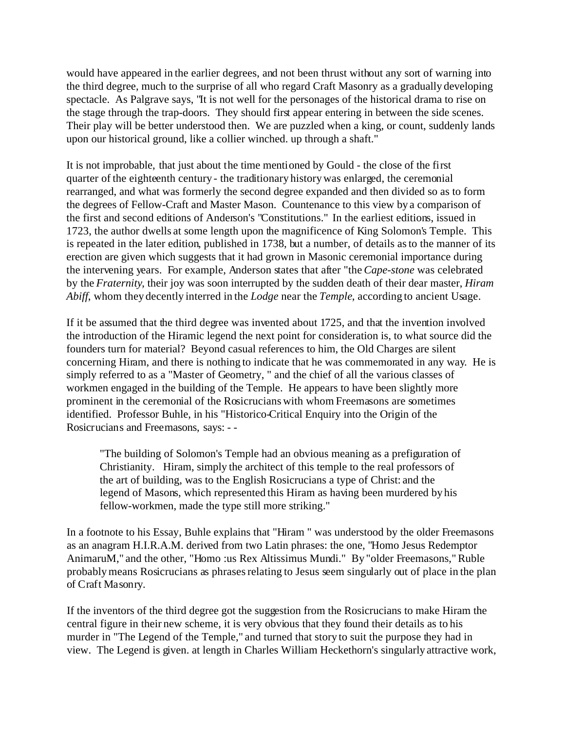would have appeared in the earlier degrees, and not been thrust without any sort of warning into the third degree, much to the surprise of all who regard Craft Masonry as a gradually developing spectacle. As Palgrave says, "It is not well for the personages of the historical drama to rise on the stage through the trap-doors. They should first appear entering in between the side scenes. Their play will be better understood then. We are puzzled when a king, or count, suddenly lands upon our historical ground, like a collier winched. up through a shaft."

It is not improbable, that just about the time mentioned by Gould - the close of the first quarter of the eighteenth century - the traditionary history was enlarged, the ceremonial rearranged, and what was formerly the second degree expanded and then divided so as to form the degrees of Fellow-Craft and Master Mason. Countenance to this view by a comparison of the first and second editions of Anderson's "Constitutions." In the earliest editions, issued in 1723, the author dwells at some length upon the magnificence of King Solomon's Temple. This is repeated in the later edition, published in 1738, but a number, of details as to the manner of its erection are given which suggests that it had grown in Masonic ceremonial importance during the intervening years. For example, Anderson states that after "the *Cape-stone* was celebrated by the *Fraternity*, their joy was soon interrupted by the sudden death of their dear master, *Hiram Abiff*, whom they decently interred in the *Lodge* near the *Temple*, according to ancient Usage.

If it be assumed that the third degree was invented about 1725, and that the invention involved the introduction of the Hiramic legend the next point for consideration is, to what source did the founders turn for material? Beyond casual references to him, the Old Charges are silent concerning Hiram, and there is nothing to indicate that he was commemorated in any way. He is simply referred to as a "Master of Geometry, " and the chief of all the various classes of workmen engaged in the building of the Temple. He appears to have been slightly more prominent in the ceremonial of the Rosicrucians with whom Freemasons are sometimes identified. Professor Buhle, in his "Historico-Critical Enquiry into the Origin of the Rosicrucians and Freemasons, says: - -

"The building of Solomon's Temple had an obvious meaning as a prefiguration of Christianity. Hiram, simply the architect of this temple to the real professors of the art of building, was to the English Rosicrucians a type of Christ: and the legend of Masons, which represented this Hiram as having been murdered by his fellow-workmen, made the type still more striking."

In a footnote to his Essay, Buhle explains that "Hiram " was understood by the older Freemasons as an anagram H.I.R.A.M. derived from two Latin phrases: the one, "Homo Jesus Redemptor AnimaruM," and the other, "Homo :us Rex Altissimus Mundi." By "older Freemasons," Ruble probably means Rosicrucians as phrases relating to Jesus seem singularly out of place in the plan of Craft Masonry.

If the inventors of the third degree got the suggestion from the Rosicrucians to make Hiram the central figure in their new scheme, it is very obvious that they found their details as to his murder in "The Legend of the Temple," and turned that story to suit the purpose they had in view. The Legend is given. at length in Charles William Heckethorn's singularly attractive work,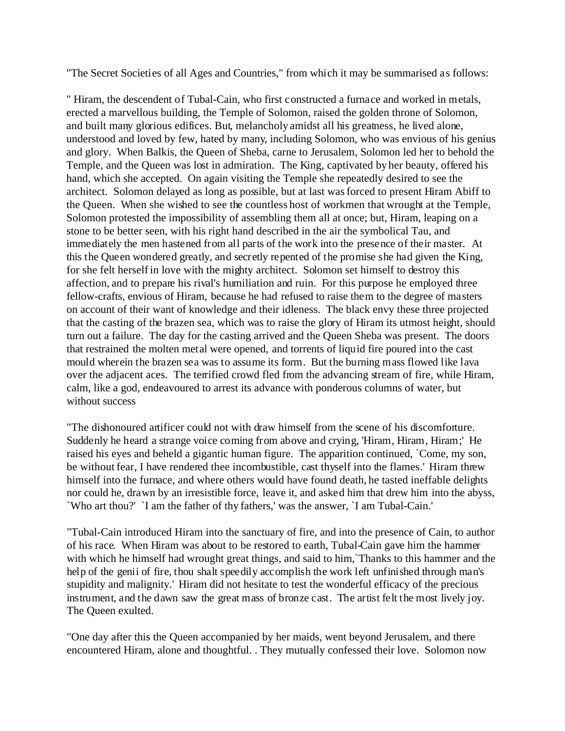"The Secret Societies of all Ages and Countries," from which it may be summarised as follows:

" Hiram, the descendent of Tubal-Cain, who first constructed a furnace and worked in metals, erected a marvellous building, the Temple of Solomon, raised the golden throne of Solomon, and built many glorious edifices. But, melancholy amidst all his greatness, he lived alone, understood and loved by few, hated by many, including Solomon, who was envious of his genius and glory. When Balkis, the Queen of Sheba, carne to Jerusalem, Solomon led her to behold the Temple, and the Queen was lost in admiration. The King, captivated by her beauty, offered his hand, which she accepted. On again visiting the Temple she repeatedly desired to see the architect. Solomon delayed as long as possible, but at last was forced to present Hiram Abiff to the Queen. When she wished to see the countless host of workmen that wrought at the Temple, Solomon protested the impossibility of assembling them all at once; but, Hiram, leaping on a stone to be better seen, with his right hand described in the air the symbolical Tau, and immediately the men hastened from all parts of the work into the presence of their master. At this the Queen wondered greatly, and secretly repented of the promise she had given the King, for she felt herself in love with the mighty architect. Solomon set himself to destroy this affection, and to prepare his rival's humiliation and ruin. For this purpose he employed three fellow-crafts, envious of Hiram, because he had refused to raise them to the degree of masters on account of their want of knowledge and their idleness. The black envy these three projected that the casting of the brazen sea, which was to raise the glory of Hiram its utmost height, should turn out a failure. The day for the casting arrived and the Queen Sheba was present. The doors that restrained the molten metal were opened, and torrents of liquid fire poured into the cast mould wherein the brazen sea was to assume its form. But the burning mass flowed like lava over the adjacent aces. The terrified crowd fled from the advancing stream of fire, while Hiram, calm, like a god, endeavoured to arrest its advance with ponderous columns of water, but without success

"The dishonoured artificer could not with draw himself from the scene of his discomforture. Suddenly he heard a strange voice coming from above and crying, 'Hiram, Hiram, Hiram;' He raised his eyes and beheld a gigantic human figure. The apparition continued, `Come, my son, be without fear, I have rendered thee incombustible, cast thyself into the flames.' Hiram threw himself into the furnace, and where others would have found death, he tasted ineffable delights nor could he, drawn by an irresistible force, leave it, and asked him that drew him into the abyss, `Who art thou?' `I am the father of thy fathers,' was the answer, `I am Tubal-Cain.'

"Tubal-Cain introduced Hiram into the sanctuary of fire, and into the presence of Cain, to author of his race. When Hiram was about to be restored to earth, Tubal-Cain gave him the hammer with which he himself had wrought great things, and said to him, Thanks to this hammer and the help of the genii of fire, thou shalt speedily accomplish the work left unfinished through man's stupidity and malignity.' Hiram did not hesitate to test the wonderful efficacy of the precious instrument, and the dawn saw the great mass of bronze cast. The artist felt the most lively joy. The Queen exulted.

"One day after this the Queen accompanied by her maids, went beyond Jerusalem, and there encountered Hiram, alone and thoughtful. . They mutually confessed their love. Solomon now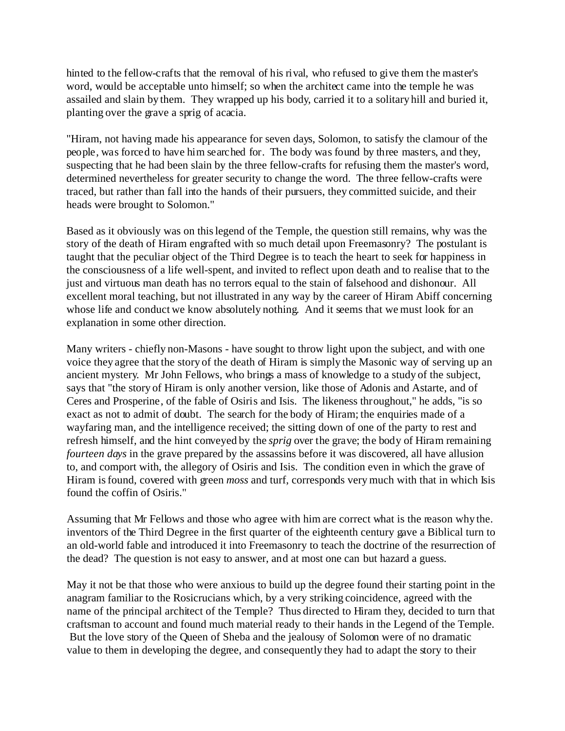hinted to the fellow-crafts that the removal of his rival, who refused to give them the master's word, would be acceptable unto himself; so when the architect came into the temple he was assailed and slain by them. They wrapped up his body, carried it to a solitary hill and buried it, planting over the grave a sprig of acacia.

"Hiram, not having made his appearance for seven days, Solomon, to satisfy the clamour of the people, was forced to have him searched for. The body was found by three masters, and they, suspecting that he had been slain by the three fellow-crafts for refusing them the master's word, determined nevertheless for greater security to change the word. The three fellow-crafts were traced, but rather than fall into the hands of their pursuers, they committed suicide, and their heads were brought to Solomon."

Based as it obviously was on this legend of the Temple, the question still remains, why was the story of the death of Hiram engrafted with so much detail upon Freemasonry? The postulant is taught that the peculiar object of the Third Degree is to teach the heart to seek for happiness in the consciousness of a life well-spent, and invited to reflect upon death and to realise that to the just and virtuous man death has no terrors equal to the stain of falsehood and dishonour. All excellent moral teaching, but not illustrated in any way by the career of Hiram Abiff concerning whose life and conduct we know absolutely nothing. And it seems that we must look for an explanation in some other direction.

Many writers - chiefly non-Masons - have sought to throw light upon the subject, and with one voice they agree that the story of the death of Hiram is simply the Masonic way of serving up an ancient mystery. Mr John Fellows, who brings a mass of knowledge to a study of the subject, says that "the story of Hiram is only another version, like those of Adonis and Astarte, and of Ceres and Prosperine, of the fable of Osiris and Isis. The likeness throughout," he adds, "is so exact as not to admit of doubt. The search for the body of Hiram; the enquiries made of a wayfaring man, and the intelligence received; the sitting down of one of the party to rest and refresh himself, and the hint conveyed by the *sprig* over the grave; the body of Hiram remaining *fourteen days* in the grave prepared by the assassins before it was discovered, all have allusion to, and comport with, the allegory of Osiris and Isis. The condition even in which the grave of Hiram is found, covered with green *moss* and turf, corresponds very much with that in which Isis found the coffin of Osiris."

Assuming that Mr Fellows and those who agree with him are correct what is the reason why the. inventors of the Third Degree in the first quarter of the eighteenth century gave a Biblical turn to an old-world fable and introduced it into Freemasonry to teach the doctrine of the resurrection of the dead? The question is not easy to answer, and at most one can but hazard a guess.

May it not be that those who were anxious to build up the degree found their starting point in the anagram familiar to the Rosicrucians which, by a very striking coincidence, agreed with the name of the principal architect of the Temple? Thus directed to Hiram they, decided to turn that craftsman to account and found much material ready to their hands in the Legend of the Temple. But the love story of the Queen of Sheba and the jealousy of Solomon were of no dramatic value to them in developing the degree, and consequently they had to adapt the story to their